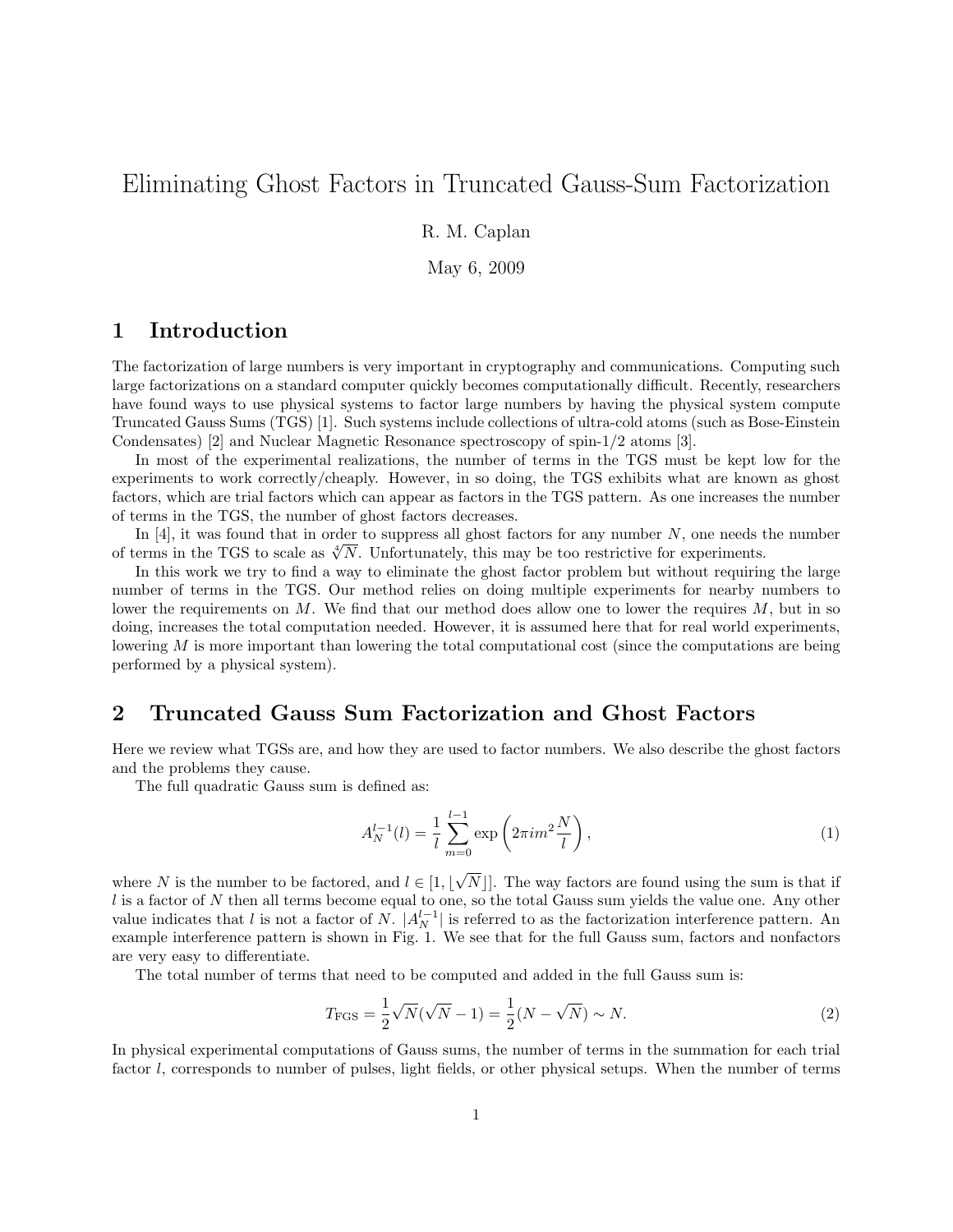# Eliminating Ghost Factors in Truncated Gauss-Sum Factorization

R. M. Caplan

May 6, 2009

#### 1 Introduction

The factorization of large numbers is very important in cryptography and communications. Computing such large factorizations on a standard computer quickly becomes computationally difficult. Recently, researchers have found ways to use physical systems to factor large numbers by having the physical system compute Truncated Gauss Sums (TGS) [1]. Such systems include collections of ultra-cold atoms (such as Bose-Einstein Condensates) [2] and Nuclear Magnetic Resonance spectroscopy of spin-1/2 atoms [3].

In most of the experimental realizations, the number of terms in the TGS must be kept low for the experiments to work correctly/cheaply. However, in so doing, the TGS exhibits what are known as ghost factors, which are trial factors which can appear as factors in the TGS pattern. As one increases the number of terms in the TGS, the number of ghost factors decreases.

In  $[4]$ , it was found that in order to suppress all ghost factors for any number N, one needs the number of terms in the TGS to scale as  $\sqrt[4]{N}$ . Unfortunately, this may be too restrictive for experiments.

In this work we try to find a way to eliminate the ghost factor problem but without requiring the large number of terms in the TGS. Our method relies on doing multiple experiments for nearby numbers to lower the requirements on  $M$ . We find that our method does allow one to lower the requires  $M$ , but in so doing, increases the total computation needed. However, it is assumed here that for real world experiments, lowering  $M$  is more important than lowering the total computational cost (since the computations are being performed by a physical system).

#### 2 Truncated Gauss Sum Factorization and Ghost Factors

Here we review what TGSs are, and how they are used to factor numbers. We also describe the ghost factors and the problems they cause.

The full quadratic Gauss sum is defined as:

$$
A_N^{l-1}(l) = \frac{1}{l} \sum_{m=0}^{l-1} \exp\left(2\pi i m^2 \frac{N}{l}\right),\tag{1}
$$

where N is the number to be factored, and  $l \in [1, k]$ √  $N$ . The way factors are found using the sum is that if  $l$  is a factor of N then all terms become equal to one, so the total Gauss sum yields the value one. Any other value indicates that l is not a factor of N.  $|A_N^{l-1}|$  is referred to as the factorization interference pattern. An example interference pattern is shown in Fig. 1. We see that for the full Gauss sum, factors and nonfactors are very easy to differentiate.

The total number of terms that need to be computed and added in the full Gauss sum is:

$$
T_{\rm FGS} = \frac{1}{2}\sqrt{N}(\sqrt{N} - 1) = \frac{1}{2}(N - \sqrt{N}) \sim N.
$$
 (2)

In physical experimental computations of Gauss sums, the number of terms in the summation for each trial factor l, corresponds to number of pulses, light fields, or other physical setups. When the number of terms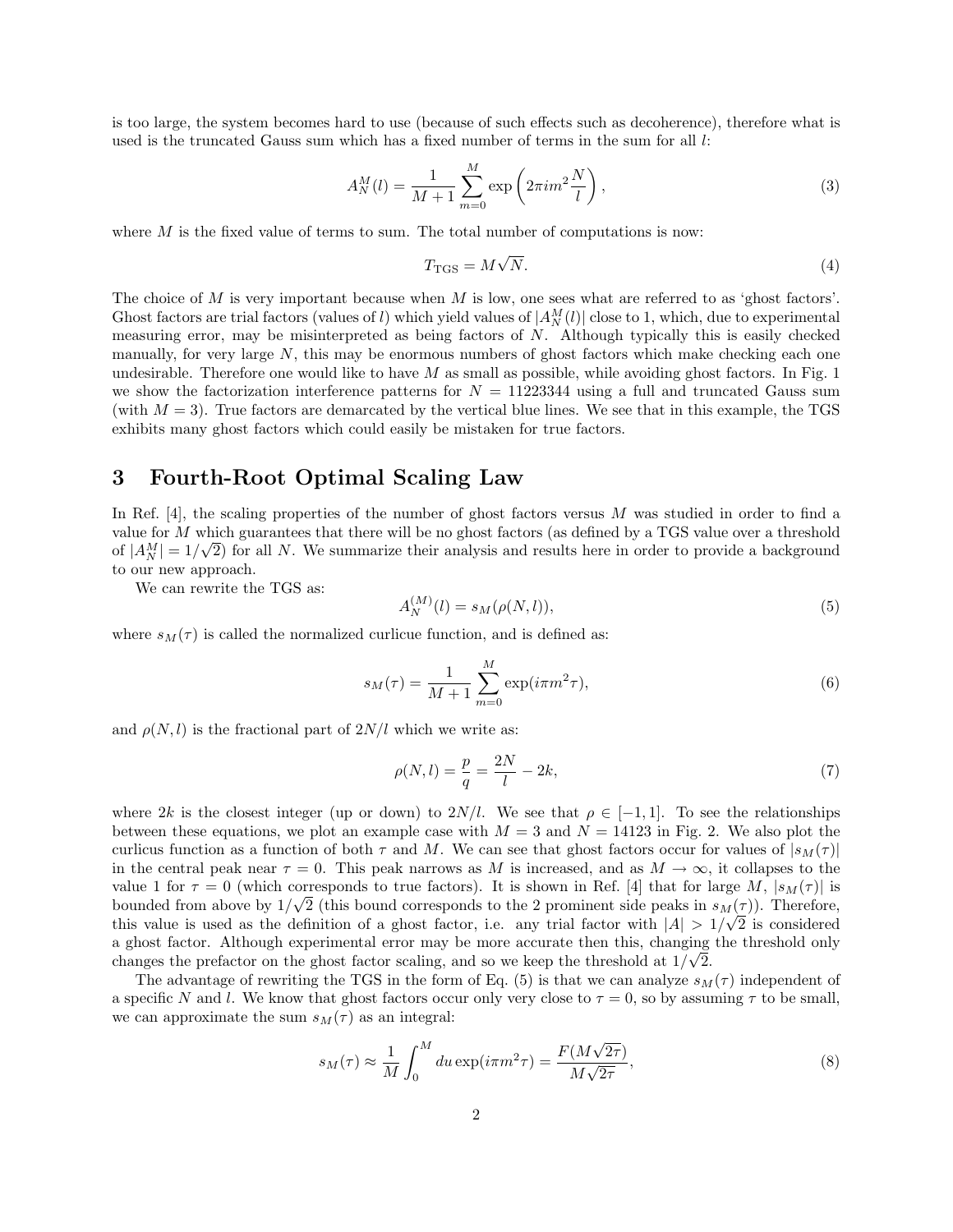is too large, the system becomes hard to use (because of such effects such as decoherence), therefore what is used is the truncated Gauss sum which has a fixed number of terms in the sum for all  $l$ :

$$
A_N^M(l) = \frac{1}{M+1} \sum_{m=0}^M \exp\left(2\pi i m^2 \frac{N}{l}\right),
$$
 (3)

where  $M$  is the fixed value of terms to sum. The total number of computations is now:

$$
T_{\rm TGS} = M\sqrt{N}.\tag{4}
$$

The choice of M is very important because when M is low, one sees what are referred to as 'ghost factors'. Ghost factors are trial factors (values of l) which yield values of  $|A_N^M(l)|$  close to 1, which, due to experimental measuring error, may be misinterpreted as being factors of  $N$ . Although typically this is easily checked manually, for very large  $N$ , this may be enormous numbers of ghost factors which make checking each one undesirable. Therefore one would like to have  $M$  as small as possible, while avoiding ghost factors. In Fig. 1 we show the factorization interference patterns for  $N = 11223344$  using a full and truncated Gauss sum (with  $M = 3$ ). True factors are demarcated by the vertical blue lines. We see that in this example, the TGS exhibits many ghost factors which could easily be mistaken for true factors.

### 3 Fourth-Root Optimal Scaling Law

In Ref. [4], the scaling properties of the number of ghost factors versus  $M$  was studied in order to find a value for M which guarantees that there will be no ghost factors (as defined by a TGS value over a threshold of  $|A_N^M|=1/\sqrt{2}$  for all N. We summarize their analysis and results here in order to provide a background to our new approach.

We can rewrite the TGS as:

$$
A_N^{(M)}(l) = s_M(\rho(N,l)),
$$
\n(5)

where  $s_M(\tau)$  is called the normalized curlicue function, and is defined as:

$$
s_M(\tau) = \frac{1}{M+1} \sum_{m=0}^{M} \exp(i\pi m^2 \tau),
$$
\n(6)

and  $\rho(N, l)$  is the fractional part of  $2N/l$  which we write as:

$$
\rho(N,l) = \frac{p}{q} = \frac{2N}{l} - 2k,\tag{7}
$$

where 2k is the closest integer (up or down) to  $2N/l$ . We see that  $\rho \in [-1,1]$ . To see the relationships between these equations, we plot an example case with  $M = 3$  and  $N = 14123$  in Fig. 2. We also plot the curlicus function as a function of both  $\tau$  and M. We can see that ghost factors occur for values of  $|s_M(\tau)|$ in the central peak near  $\tau = 0$ . This peak narrows as M is increased, and as  $M \to \infty$ , it collapses to the value 1 for  $\tau = 0$  (which corresponds to true factors). It is shown in Ref. [4] that for large M,  $|s_M(\tau)|$  is bounded from above by  $1/\sqrt{2}$  (this bound corresponds to the 2 prominent side peaks in  $s_M(\tau)$ ). Therefore, this value is used as the definition of a ghost factor, i.e. any trial factor with  $|A| > 1/\sqrt{2}$  is considered a ghost factor. Although experimental error may be more accurate then this, changing the threshold only √ changes the prefactor on the ghost factor scaling, and so we keep the threshold at  $1/\sqrt{2}$ .

The advantage of rewriting the TGS in the form of Eq. (5) is that we can analyze  $s_M(\tau)$  independent of a specific N and l. We know that ghost factors occur only very close to  $\tau = 0$ , so by assuming  $\tau$  to be small, we can approximate the sum  $s_M(\tau)$  as an integral:

$$
s_M(\tau) \approx \frac{1}{M} \int_0^M du \exp(i\pi m^2 \tau) = \frac{F(M\sqrt{2\tau})}{M\sqrt{2\tau}},
$$
\n(8)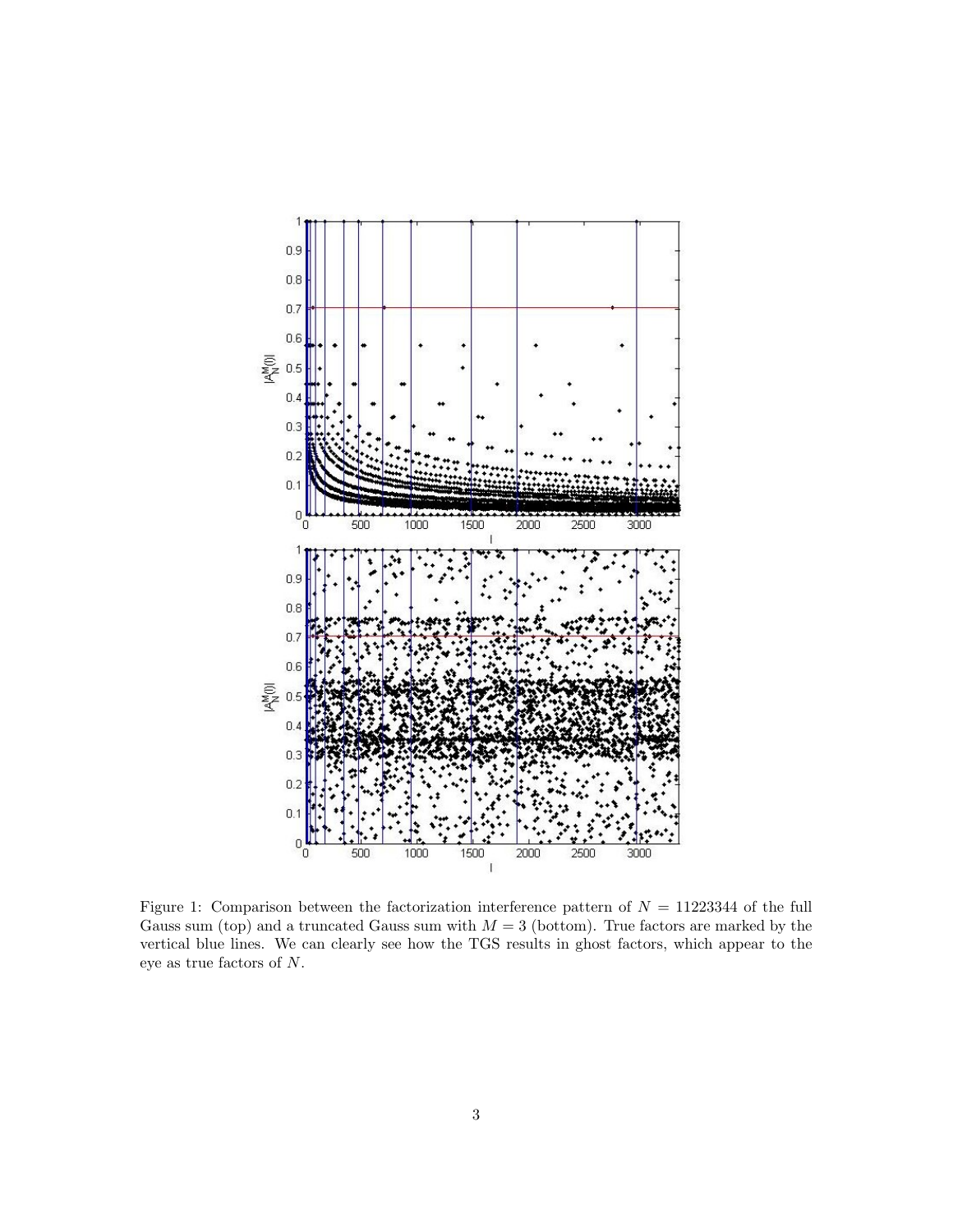

Figure 1: Comparison between the factorization interference pattern of  $N = 11223344$  of the full Gauss sum (top) and a truncated Gauss sum with  $M = 3$  (bottom). True factors are marked by the vertical blue lines. We can clearly see how the TGS results in ghost factors, which appear to the eye as true factors of N.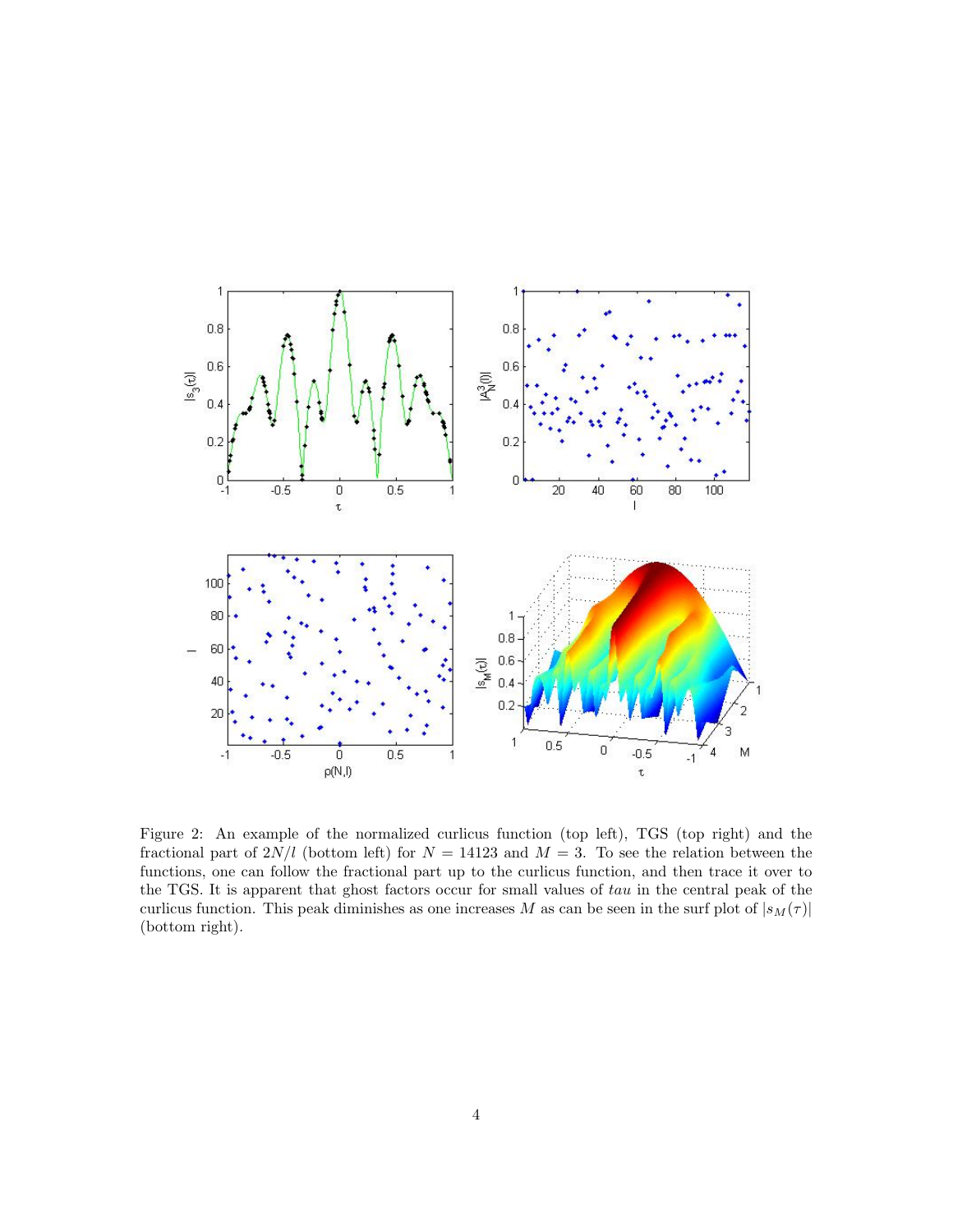

Figure 2: An example of the normalized curlicus function (top left), TGS (top right) and the fractional part of  $2N/l$  (bottom left) for  $N = 14123$  and  $M = 3$ . To see the relation between the functions, one can follow the fractional part up to the curlicus function, and then trace it over to the TGS. It is apparent that ghost factors occur for small values of tau in the central peak of the curlicus function. This peak diminishes as one increases M as can be seen in the surf plot of  $|s_M(\tau)|$ (bottom right).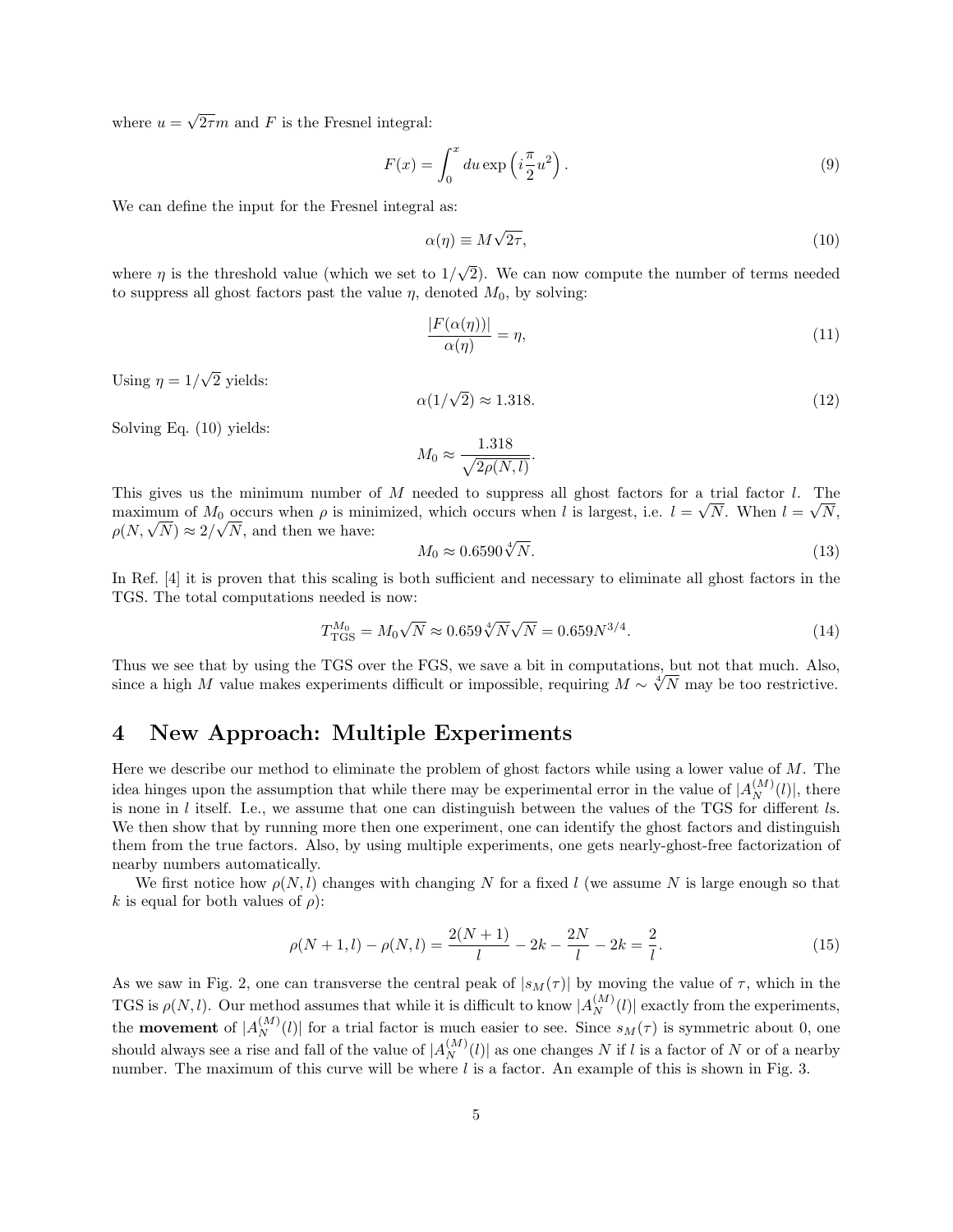where  $u =$ √  $2\tau m$  and F is the Fresnel integral:

$$
F(x) = \int_0^x du \exp\left(i\frac{\pi}{2}u^2\right).
$$
\n(9)

We can define the input for the Fresnel integral as:

$$
\alpha(\eta) \equiv M\sqrt{2\tau},\tag{10}
$$

where  $\eta$  is the threshold value (which we set to  $1/$ √ 2). We can now compute the number of terms needed to suppress all ghost factors past the value  $\eta$ , denoted  $M_0$ , by solving:

$$
\frac{|F(\alpha(\eta))|}{\alpha(\eta)} = \eta,\tag{11}
$$

Using  $\eta = 1/$ √ 2 yields:

$$
\alpha(1/\sqrt{2}) \approx 1.318.\tag{12}
$$

Solving Eq. (10) yields:

$$
M_0 \approx \frac{1.318}{\sqrt{2\rho(N,l)}}.
$$

This gives us the minimum number of M needed to suppress all ghost factors for a trial factor l. The maximum of  $M_0$  occurs when  $\rho$  is minimized, which occurs when l is largest, i.e.  $l = \sqrt{N}$ . When  $l = \sqrt{N}$ , maximum of  $M_0$  occurs when  $\rho$  is min<br> $\rho(N, \sqrt{N}) \approx 2/\sqrt{N}$ , and then we have:

$$
M_0 \approx 0.6590 \sqrt[4]{N}.\tag{13}
$$

In Ref. [4] it is proven that this scaling is both sufficient and necessary to eliminate all ghost factors in the TGS. The total computations needed is now:

$$
T_{\rm TGS}^{M_0} = M_0 \sqrt{N} \approx 0.659 \sqrt[4]{N} \sqrt{N} = 0.659 N^{3/4}.
$$
 (14)

Thus we see that by using the TGS over the FGS, we save a bit in computations, but not that much. Also, Thus we see that by using the TGS over the FGS, we save a bit in computations, but not that much. Also, since a high M value makes experiments difficult or impossible, requiring  $M \sim \sqrt[4]{N}$  may be too restrictive.

#### 4 New Approach: Multiple Experiments

Here we describe our method to eliminate the problem of ghost factors while using a lower value of M. The idea hinges upon the assumption that while there may be experimental error in the value of  $|A_N^{(M)}(l)|$ , there is none in  $l$  itself. I.e., we assume that one can distinguish between the values of the TGS for different  $l$ s. We then show that by running more then one experiment, one can identify the ghost factors and distinguish them from the true factors. Also, by using multiple experiments, one gets nearly-ghost-free factorization of nearby numbers automatically.

We first notice how  $\rho(N, l)$  changes with changing N for a fixed l (we assume N is large enough so that k is equal for both values of  $\rho$ :

$$
\rho(N+1,l) - \rho(N,l) = \frac{2(N+1)}{l} - 2k - \frac{2N}{l} - 2k = \frac{2}{l}.
$$
\n(15)

As we saw in Fig. 2, one can transverse the central peak of  $|s_M(\tau)|$  by moving the value of  $\tau$ , which in the TGS is  $\rho(N, l)$ . Our method assumes that while it is difficult to know  $|A_N^{(M)}(l)|$  exactly from the experiments, the **movement** of  $|A_N^{(M)}(l)|$  for a trial factor is much easier to see. Since  $s_M(\tau)$  is symmetric about 0, one should always see a rise and fall of the value of  $|A_N^{(M)}(l)|$  as one changes N if l is a factor of N or of a nearby number. The maximum of this curve will be where  $l$  is a factor. An example of this is shown in Fig. 3.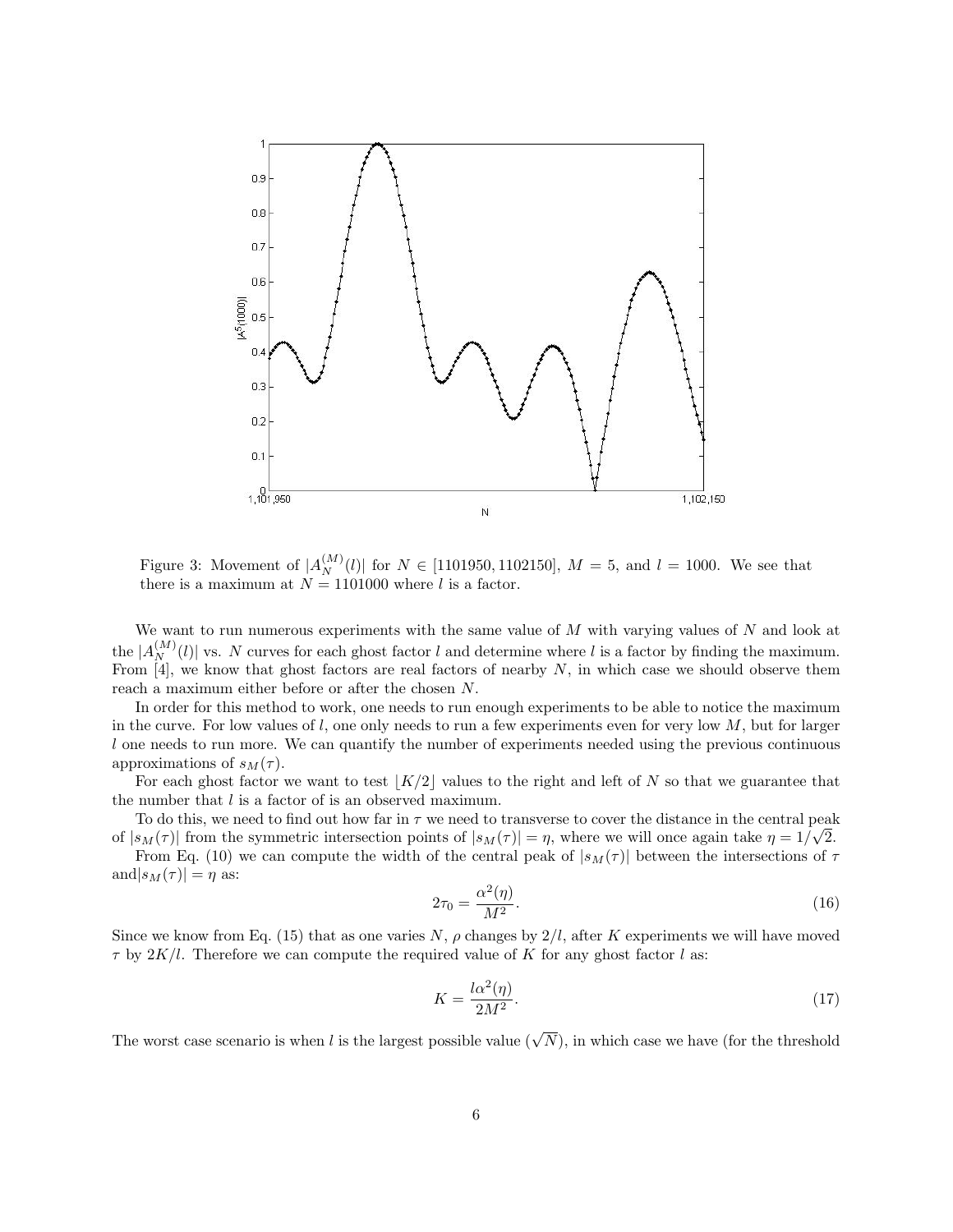

Figure 3: Movement of  $|A_N^{(M)}(l)|$  for  $N \in [1101950, 1102150]$ ,  $M = 5$ , and  $l = 1000$ . We see that there is a maximum at  $N = 1101000$  where l is a factor.

We want to run numerous experiments with the same value of  $M$  with varying values of  $N$  and look at the  $|A_N^{(M)}(l)|$  vs. N curves for each ghost factor l and determine where l is a factor by finding the maximum. From  $\overline{4}$ , we know that ghost factors are real factors of nearby N, in which case we should observe them reach a maximum either before or after the chosen N.

In order for this method to work, one needs to run enough experiments to be able to notice the maximum in the curve. For low values of  $l$ , one only needs to run a few experiments even for very low  $M$ , but for larger l one needs to run more. We can quantify the number of experiments needed using the previous continuous approximations of  $s_M(\tau)$ .

For each ghost factor we want to test  $|K/2|$  values to the right and left of N so that we guarantee that the number that l is a factor of is an observed maximum.

To do this, we need to find out how far in  $\tau$  we need to transverse to cover the distance in the central peak of  $|s_M(\tau)|$  from the symmetric intersection points of  $|s_M(\tau)| = \eta$ , where we will once again take  $\eta = 1/\sqrt{2}$ .

From Eq. (10) we can compute the width of the central peak of  $|s_M(\tau)|$  between the intersections of  $\tau$ and  $|s_M(\tau)| = \eta$  as:

$$
2\tau_0 = \frac{\alpha^2(\eta)}{M^2}.\tag{16}
$$

Since we know from Eq. (15) that as one varies N,  $\rho$  changes by  $2/l$ , after K experiments we will have moved  $\tau$  by  $2K/l$ . Therefore we can compute the required value of K for any ghost factor l as:

$$
K = \frac{l\alpha^2(\eta)}{2M^2}.\tag{17}
$$

The worst case scenario is when l is the largest possible value  $(\sqrt{N})$ , in which case we have (for the threshold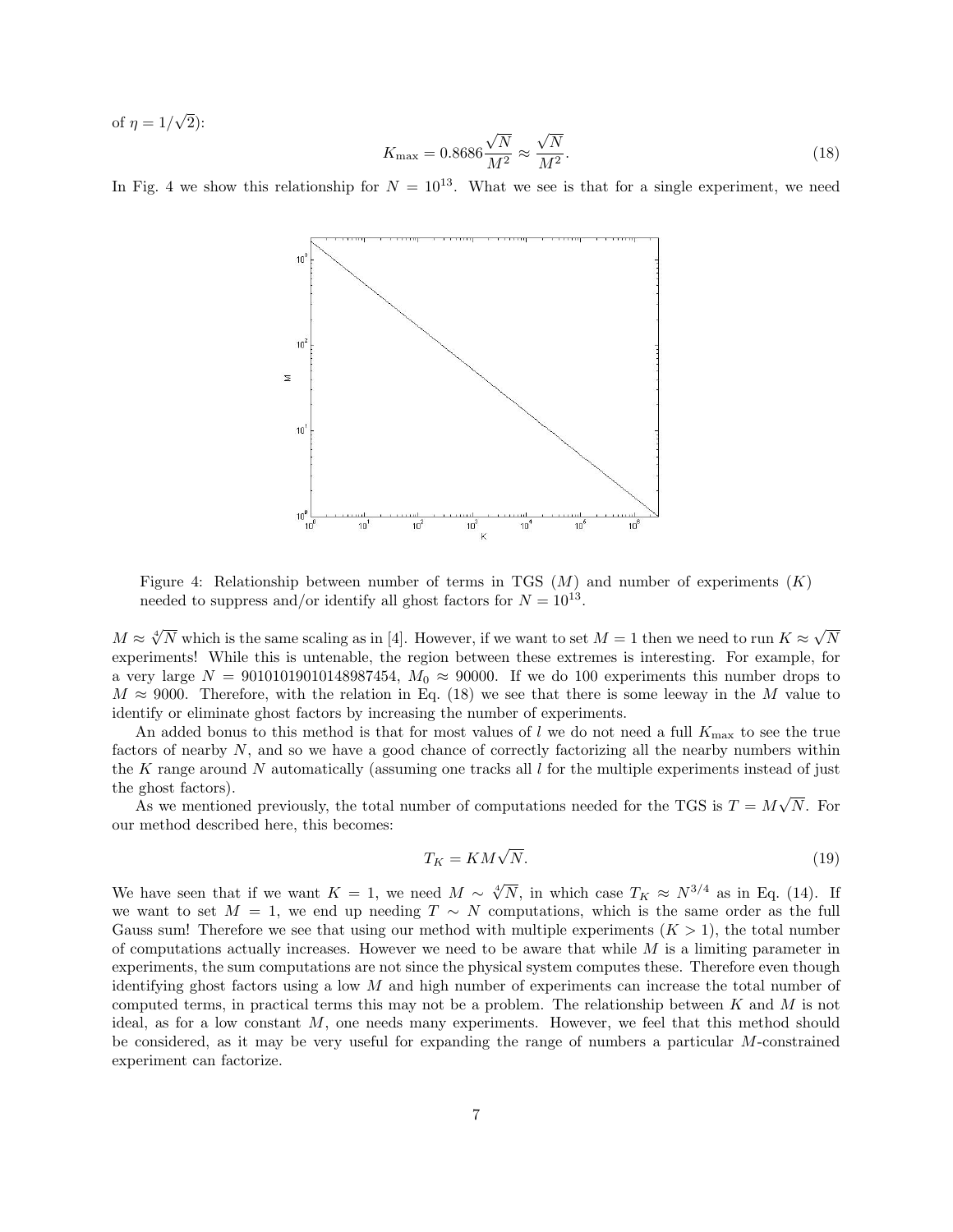of  $\eta = 1/$ √ 2):

$$
K_{\text{max}} = 0.8686 \frac{\sqrt{N}}{M^2} \approx \frac{\sqrt{N}}{M^2}.
$$
\n(18)

In Fig. 4 we show this relationship for  $N = 10^{13}$ . What we see is that for a single experiment, we need



Figure 4: Relationship between number of terms in TGS  $(M)$  and number of experiments  $(K)$ needed to suppress and/or identify all ghost factors for  $N = 10^{13}$ .

 $M \approx \sqrt[4]{N}$  which is the same scaling as in [4]. However, if we want to set  $M = 1$  then we need to run  $K \approx \sqrt{N}$ N experiments! While this is untenable, the region between these extremes is interesting. For example, for a very large  $N = 90101019010148987454$ ,  $M_0 \approx 90000$ . If we do 100 experiments this number drops to  $M \approx 9000$ . Therefore, with the relation in Eq. (18) we see that there is some leeway in the M value to identify or eliminate ghost factors by increasing the number of experiments.

An added bonus to this method is that for most values of  $l$  we do not need a full  $K_{\text{max}}$  to see the true factors of nearby N, and so we have a good chance of correctly factorizing all the nearby numbers within the K range around N automatically (assuming one tracks all  $l$  for the multiple experiments instead of just the ghost factors). √

As we mentioned previously, the total number of computations needed for the TGS is  $T = M$ N. For our method described here, this becomes:

$$
T_K = KM\sqrt{N}.\tag{19}
$$

We have seen that if we want  $K = 1$ , we need  $M \sim \sqrt[4]{N}$ , in which case  $T_K \approx N^{3/4}$  as in Eq. (14). If we want to set  $M = 1$ , we end up needing  $T \sim N$  computations, which is the same order as the full Gauss sum! Therefore we see that using our method with multiple experiments  $(K > 1)$ , the total number of computations actually increases. However we need to be aware that while  $M$  is a limiting parameter in experiments, the sum computations are not since the physical system computes these. Therefore even though identifying ghost factors using a low  $M$  and high number of experiments can increase the total number of computed terms, in practical terms this may not be a problem. The relationship between  $K$  and  $M$  is not ideal, as for a low constant M, one needs many experiments. However, we feel that this method should be considered, as it may be very useful for expanding the range of numbers a particular M-constrained experiment can factorize.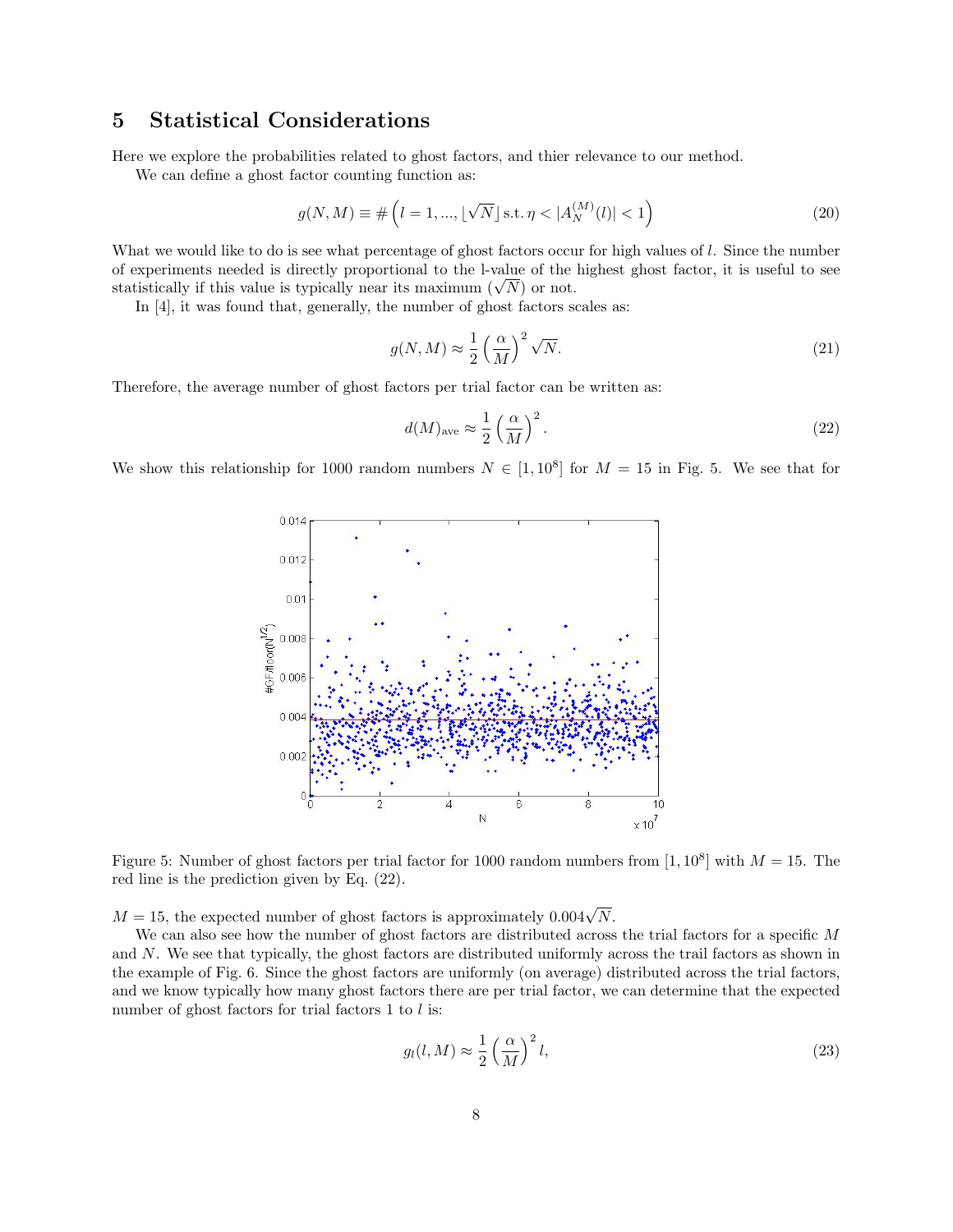#### 5 Statistical Considerations

Here we explore the probabilities related to ghost factors, and thier relevance to our method.

We can define a ghost factor counting function as:

$$
g(N, M) \equiv \# \left( l = 1, ..., \lfloor \sqrt{N} \rfloor \text{s.t.} \ \eta < |A_N^{(M)}(l)| < 1 \right) \tag{20}
$$

What we would like to do is see what percentage of ghost factors occur for high values of l. Since the number of experiments needed is directly proportional to the l-value of the highest ghost factor, it is useful to see or experiments needed is directly proportional to the 1-value of the statistically if this value is typically near its maximum ( $\sqrt{N}$ ) or not.

In [4], it was found that, generally, the number of ghost factors scales as:

$$
g(N,M) \approx \frac{1}{2} \left(\frac{\alpha}{M}\right)^2 \sqrt{N}.\tag{21}
$$

Therefore, the average number of ghost factors per trial factor can be written as:

$$
d(M)_{\text{ave}} \approx \frac{1}{2} \left(\frac{\alpha}{M}\right)^2.
$$
\n(22)

We show this relationship for 1000 random numbers  $N \in [1, 10^8]$  for  $M = 15$  in Fig. 5. We see that for



Figure 5: Number of ghost factors per trial factor for 1000 random numbers from  $[1, 10^8]$  with  $M = 15$ . The red line is the prediction given by Eq. (22).

 $M = 15$ , the expected number of ghost factors is approximately  $0.004\sqrt{N}$ .

We can also see how the number of ghost factors are distributed across the trial factors for a specific M and N. We see that typically, the ghost factors are distributed uniformly across the trail factors as shown in the example of Fig. 6. Since the ghost factors are uniformly (on average) distributed across the trial factors, and we know typically how many ghost factors there are per trial factor, we can determine that the expected number of ghost factors for trial factors  $1$  to  $l$  is:

$$
g_l(l,M) \approx \frac{1}{2} \left(\frac{\alpha}{M}\right)^2 l,\tag{23}
$$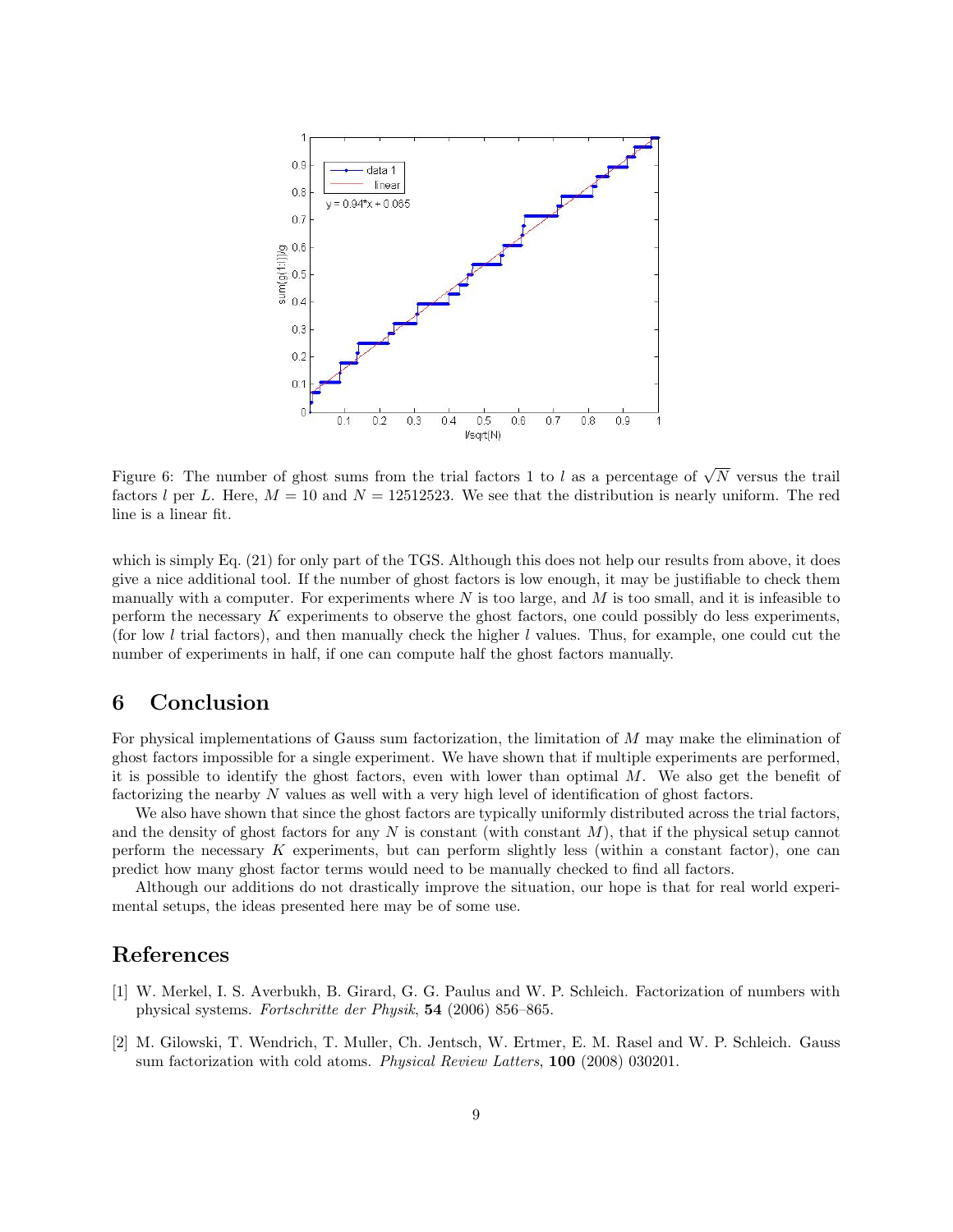

Figure 6: The number of ghost sums from the trial factors 1 to l as a percentage of  $\sqrt{N}$  versus the trail factors l per L. Here,  $M = 10$  and  $N = 12512523$ . We see that the distribution is nearly uniform. The red line is a linear fit.

which is simply Eq. (21) for only part of the TGS. Although this does not help our results from above, it does give a nice additional tool. If the number of ghost factors is low enough, it may be justifiable to check them manually with a computer. For experiments where  $N$  is too large, and  $M$  is too small, and it is infeasible to perform the necessary K experiments to observe the ghost factors, one could possibly do less experiments, (for low l trial factors), and then manually check the higher l values. Thus, for example, one could cut the number of experiments in half, if one can compute half the ghost factors manually.

## 6 Conclusion

For physical implementations of Gauss sum factorization, the limitation of M may make the elimination of ghost factors impossible for a single experiment. We have shown that if multiple experiments are performed, it is possible to identify the ghost factors, even with lower than optimal  $M$ . We also get the benefit of factorizing the nearby N values as well with a very high level of identification of ghost factors.

We also have shown that since the ghost factors are typically uniformly distributed across the trial factors, and the density of ghost factors for any N is constant (with constant  $M$ ), that if the physical setup cannot perform the necessary K experiments, but can perform slightly less (within a constant factor), one can predict how many ghost factor terms would need to be manually checked to find all factors.

Although our additions do not drastically improve the situation, our hope is that for real world experimental setups, the ideas presented here may be of some use.

#### References

- [1] W. Merkel, I. S. Averbukh, B. Girard, G. G. Paulus and W. P. Schleich. Factorization of numbers with physical systems. Fortschritte der Physik, 54 (2006) 856–865.
- [2] M. Gilowski, T. Wendrich, T. Muller, Ch. Jentsch, W. Ertmer, E. M. Rasel and W. P. Schleich. Gauss sum factorization with cold atoms. Physical Review Latters, 100 (2008) 030201.